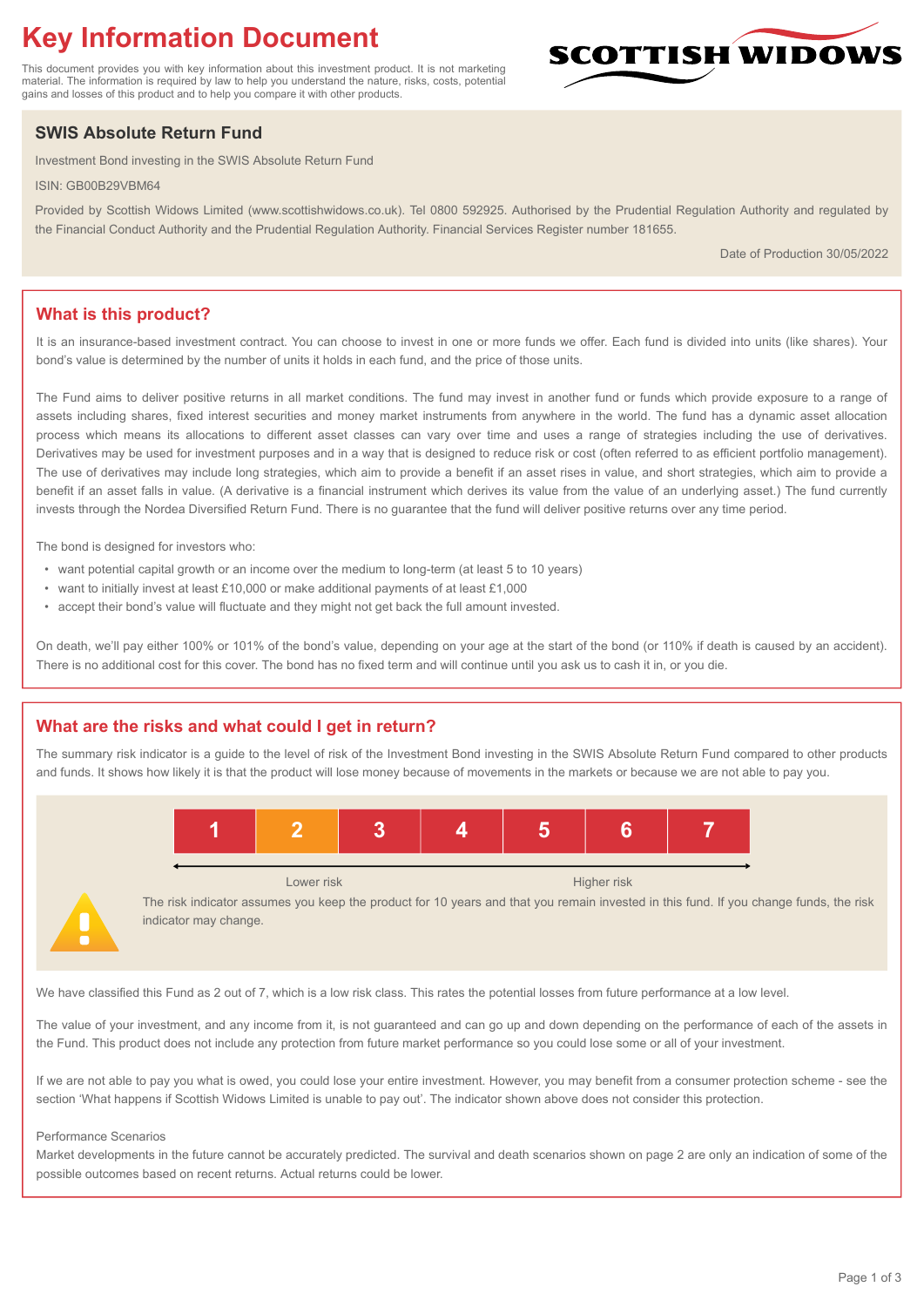# **Key Information Document**

This document provides you with key information about this investment product. It is not marketing material. The information is required by law to help you understand the nature, risks, costs, potential gains and losses of this product and to help you compare it with other products.

## **SWIS Absolute Return Fund**

Investment Bond investing in the SWIS Absolute Return Fund

ISIN: GB00B29VBM64

Provided by Scottish Widows Limited (www.scottishwidows.co.uk). Tel 0800 592925. Authorised by the Prudential Regulation Authority and regulated by the Financial Conduct Authority and the Prudential Regulation Authority. Financial Services Register number 181655.

Date of Production 30/05/2022

## **What is this product?**

It is an insurance-based investment contract. You can choose to invest in one or more funds we offer. Each fund is divided into units (like shares). Your bond's value is determined by the number of units it holds in each fund, and the price of those units.

The Fund aims to deliver positive returns in all market conditions. The fund may invest in another fund or funds which provide exposure to a range of assets including shares, fixed interest securities and money market instruments from anywhere in the world. The fund has a dynamic asset allocation process which means its allocations to different asset classes can vary over time and uses a range of strategies including the use of derivatives. Derivatives may be used for investment purposes and in a way that is designed to reduce risk or cost (often referred to as efficient portfolio management). The use of derivatives may include long strategies, which aim to provide a benefit if an asset rises in value, and short strategies, which aim to provide a benefit if an asset falls in value. (A derivative is a financial instrument which derives its value from the value of an underlying asset.) The fund currently invests through the Nordea Diversified Return Fund. There is no guarantee that the fund will deliver positive returns over any time period.

The bond is designed for investors who:

- want potential capital growth or an income over the medium to long-term (at least 5 to 10 years)
- want to initially invest at least £10,000 or make additional payments of at least £1,000
- accept their bond's value will fluctuate and they might not get back the full amount invested.

On death, we'll pay either 100% or 101% of the bond's value, depending on your age at the start of the bond (or 110% if death is caused by an accident). There is no additional cost for this cover. The bond has no fixed term and will continue until you ask us to cash it in, or you die.

## **What are the risks and what could I get in return?**

The summary risk indicator is a guide to the level of risk of the Investment Bond investing in the SWIS Absolute Return Fund compared to other products and funds. It shows how likely it is that the product will lose money because of movements in the markets or because we are not able to pay you.



The risk indicator assumes you keep the product for 10 years and that you remain invested in this fund. If you change funds, the risk indicator may change.

We have classified this Fund as 2 out of 7, which is a low risk class. This rates the potential losses from future performance at a low level.

The value of your investment, and any income from it, is not guaranteed and can go up and down depending on the performance of each of the assets in the Fund. This product does not include any protection from future market performance so you could lose some or all of your investment.

If we are not able to pay you what is owed, you could lose your entire investment. However, you may benefit from a consumer protection scheme - see the section 'What happens if Scottish Widows Limited is unable to pay out'. The indicator shown above does not consider this protection.

#### Performance Scenarios

Market developments in the future cannot be accurately predicted. The survival and death scenarios shown on page 2 are only an indication of some of the possible outcomes based on recent returns. Actual returns could be lower.

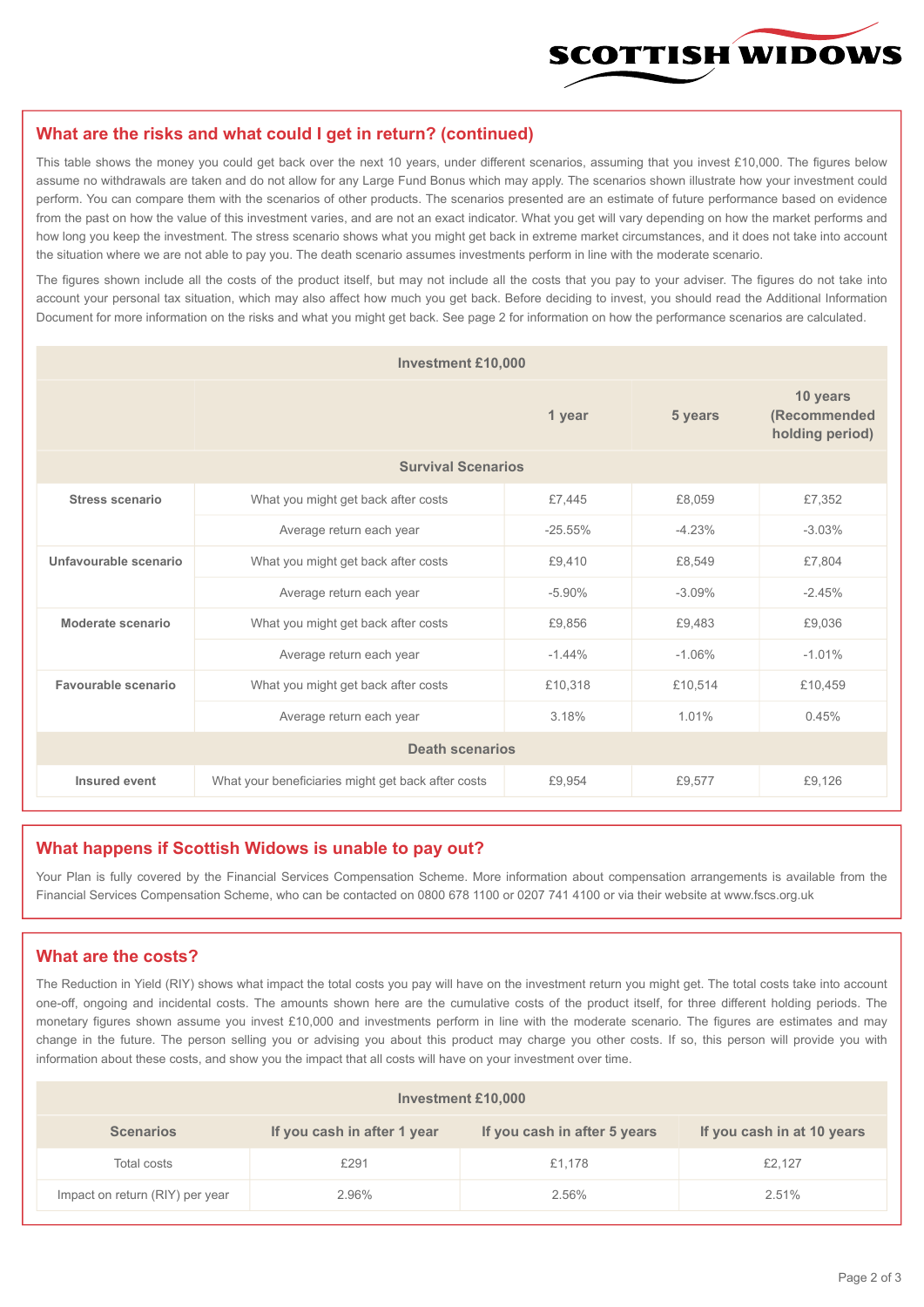

#### **What are the risks and what could I get in return? (continued)**

This table shows the money you could get back over the next 10 years, under different scenarios, assuming that you invest £10,000. The figures below assume no withdrawals are taken and do not allow for any Large Fund Bonus which may apply. The scenarios shown illustrate how your investment could perform. You can compare them with the scenarios of other products. The scenarios presented are an estimate of future performance based on evidence from the past on how the value of this investment varies, and are not an exact indicator. What you get will vary depending on how the market performs and how long you keep the investment. The stress scenario shows what you might get back in extreme market circumstances, and it does not take into account the situation where we are not able to pay you. The death scenario assumes investments perform in line with the moderate scenario.

The figures shown include all the costs of the product itself, but may not include all the costs that you pay to your adviser. The figures do not take into account your personal tax situation, which may also affect how much you get back. Before deciding to invest, you should read the Additional Information Document for more information on the risks and what you might get back. See page 2 for information on how the performance scenarios are calculated.

| <b>Investment £10,000</b> |                                                    |           |          |                                             |  |  |
|---------------------------|----------------------------------------------------|-----------|----------|---------------------------------------------|--|--|
|                           | 1 year                                             |           | 5 years  | 10 years<br>(Recommended<br>holding period) |  |  |
| <b>Survival Scenarios</b> |                                                    |           |          |                                             |  |  |
| <b>Stress scenario</b>    | £7,445<br>What you might get back after costs      |           | £8,059   | £7,352                                      |  |  |
|                           | $-25.55%$<br>Average return each year              |           | $-4.23%$ | $-3.03%$                                    |  |  |
| Unfavourable scenario     | What you might get back after costs<br>£9,410      |           | £8,549   | £7,804                                      |  |  |
|                           | Average return each year                           | $-5.90\%$ | $-3.09%$ | $-2.45%$                                    |  |  |
| Moderate scenario         | What you might get back after costs                | £9,856    | £9,483   | £9,036                                      |  |  |
|                           | Average return each year                           | $-1.44%$  | $-1.06%$ | $-1.01%$                                    |  |  |
| Favourable scenario       | What you might get back after costs                | £10,318   | £10,514  | £10,459                                     |  |  |
| Average return each year  |                                                    | 3.18%     | 1.01%    | 0.45%                                       |  |  |
| <b>Death scenarios</b>    |                                                    |           |          |                                             |  |  |
| Insured event             | What your beneficiaries might get back after costs | £9,954    | £9.577   | £9.126                                      |  |  |

#### **What happens if Scottish Widows is unable to pay out?**

Your Plan is fully covered by the Financial Services Compensation Scheme. More information about compensation arrangements is available from the Financial Services Compensation Scheme, who can be contacted on 0800 678 1100 or 0207 741 4100 or via their website at www.fscs.org.uk

#### **What are the costs?**

The Reduction in Yield (RIY) shows what impact the total costs you pay will have on the investment return you might get. The total costs take into account one-off, ongoing and incidental costs. The amounts shown here are the cumulative costs of the product itself, for three different holding periods. The monetary figures shown assume you invest £10,000 and investments perform in line with the moderate scenario. The figures are estimates and may change in the future. The person selling you or advising you about this product may charge you other costs. If so, this person will provide you with information about these costs, and show you the impact that all costs will have on your investment over time.

| Investment £10,000              |                             |                              |                            |  |  |  |
|---------------------------------|-----------------------------|------------------------------|----------------------------|--|--|--|
| <b>Scenarios</b>                | If you cash in after 1 year | If you cash in after 5 years | If you cash in at 10 years |  |  |  |
| Total costs                     | £291                        | £1,178                       | £2,127                     |  |  |  |
| Impact on return (RIY) per year | 2.96%                       | 2.56%                        | 2.51%                      |  |  |  |